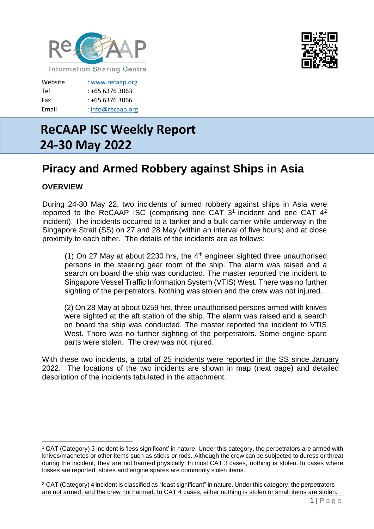



| : www.recaap.org    |
|---------------------|
| : +65 6376 3063     |
| : +65 6376 3066     |
| $:$ info@recaap.org |
|                     |

# **ReCAAP ISC Weekly Report 24-30 May 2022**

## **Piracy and Armed Robbery against Ships in Asia**

### **OVERVIEW**

During 24-30 May 22, two incidents of armed robbery against ships in Asia were reported to the ReCAAP ISC (comprising one CAT  $3<sup>1</sup>$  incident and one CAT  $4<sup>2</sup>$ incident). The incidents occurred to a tanker and a bulk carrier while underway in the Singapore Strait (SS) on 27 and 28 May (within an interval of five hours) and at close proximity to each other. The details of the incidents are as follows:

(1) On 27 May at about 2230 hrs, the  $4<sup>th</sup>$  engineer sighted three unauthorised persons in the steering gear room of the ship. The alarm was raised and a search on board the ship was conducted. The master reported the incident to Singapore Vessel Traffic Information System (VTIS) West. There was no further sighting of the perpetrators. Nothing was stolen and the crew was not injured.

(2) On 28 May at about 0259 hrs, three unauthorised persons armed with knives were sighted at the aft station of the ship. The alarm was raised and a search on board the ship was conducted. The master reported the incident to VTIS West. There was no further sighting of the perpetrators. Some engine spare parts were stolen. The crew was not injured.

With these two incidents, a total of 25 incidents were reported in the SS since January 2022. The locations of the two incidents are shown in map (next page) and detailed description of the incidents tabulated in the attachment.

<sup>1</sup> CAT (Category) 3 incident is 'less significant' in nature. Under this category, the perpetrators are armed with knives/machetes or other items such as sticks or rods. Although the crew can be subjected to duress or threat during the incident, they are not harmed physically. In most CAT 3 cases, nothing is stolen. In cases where losses are reported, stores and engine spares are commonly stolen items.

<sup>2</sup> CAT (Category) 4 incident is classified as "least significant" in nature. Under this category, the perpetrators are not armed, and the crew not harmed. In CAT 4 cases, either nothing is stolen or small items are stolen.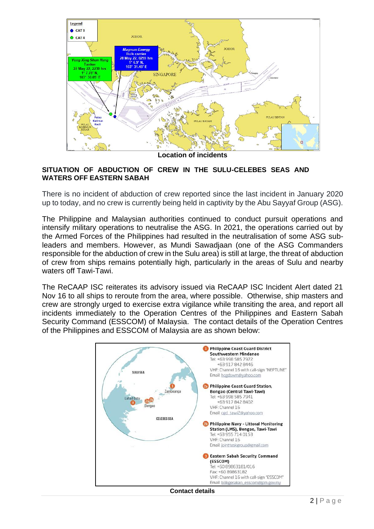

**Location of incidents**

#### **SITUATION OF ABDUCTION OF CREW IN THE SULU-CELEBES SEAS AND WATERS OFF EASTERN SABAH**

There is no incident of abduction of crew reported since the last incident in January 2020 up to today, and no crew is currently being held in captivity by the Abu Sayyaf Group (ASG).

The Philippine and Malaysian authorities continued to conduct pursuit operations and intensify military operations to neutralise the ASG. In 2021, the operations carried out by the Armed Forces of the Philippines had resulted in the neutralisation of some ASG subleaders and members. However, as Mundi Sawadjaan (one of the ASG Commanders responsible for the abduction of crew in the Sulu area) is still at large, the threat of abduction of crew from ships remains potentially high, particularly in the areas of Sulu and nearby waters off Tawi-Tawi.

The ReCAAP ISC reiterates its advisory issued via ReCAAP ISC Incident Alert dated 21 Nov 16 to all ships to reroute from the area, where possible. Otherwise, ship masters and crew are strongly urged to exercise extra vigilance while transiting the area, and report all incidents immediately to the Operation Centres of the Philippines and Eastern Sabah Security Command (ESSCOM) of Malaysia. The contact details of the Operation Centres of the Philippines and ESSCOM of Malaysia are as shown below:



 $2|P$  a g e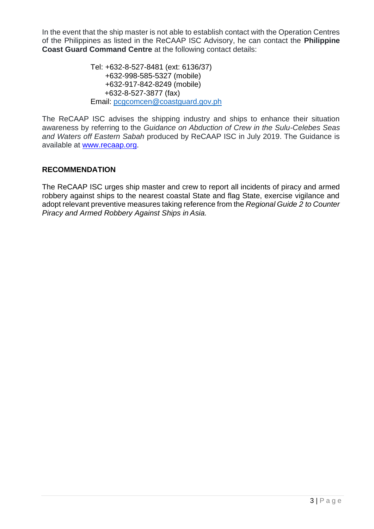In the event that the ship master is not able to establish contact with the Operation Centres of the Philippines as listed in the ReCAAP ISC Advisory, he can contact the **Philippine Coast Guard Command Centre** at the following contact details:

> Tel: +632-8-527-8481 (ext: 6136/37) +632-998-585-5327 (mobile) +632-917-842-8249 (mobile) +632-8-527-3877 (fax) Email: [pcgcomcen@coastguard.gov.ph](mailto:pcgcomcen@coastguard.gov.ph)

The ReCAAP ISC advises the shipping industry and ships to enhance their situation awareness by referring to the *Guidance on Abduction of Crew in the Sulu-Celebes Seas and Waters off Eastern Sabah* produced by ReCAAP ISC in July 2019. The Guidance is available at [www.recaap.org.](http://www.recaap.org/)

#### **RECOMMENDATION**

The ReCAAP ISC urges ship master and crew to report all incidents of piracy and armed robbery against ships to the nearest coastal State and flag State, exercise vigilance and adopt relevant preventive measures taking reference from the *Regional Guide 2 to Counter Piracy and Armed Robbery Against Ships in Asia.*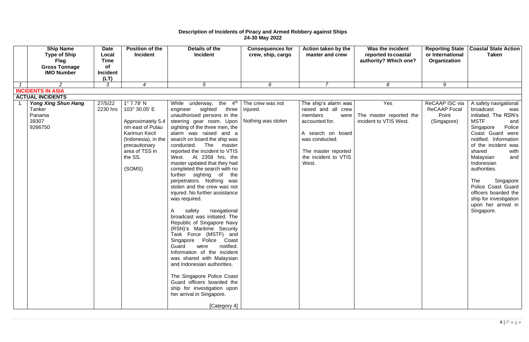#### **Description of Incidents of Piracy and Armed Robbery against Ships 24-30 May 2022**

| <b>Type of Ship</b><br><b>Flag</b><br><b>Gross Tonnage</b><br><b>IMO Number</b> | <b>Date</b><br>Local<br><b>Time</b><br><b>of</b><br><b>Incident</b><br>(LT) | <b>Position of the</b><br><b>Incident</b>                                                                                                                                     | Details of the<br><b>Incident</b>                                                                                                                                                                                                                                                                                                                                                                                                                                                                                                                                                                                                                                                                                                                                                                                                                                                                                                                                               | <b>Consequences for</b><br>crew, ship, cargo       | Action taken by the<br>master and crew                                                                                                                                          | Was the incident<br>reported to coastal<br>authority? Which one? | <b>Reporting State</b><br>or International<br>Organization    | <b>Coastal State Action</b><br><b>Taken</b>                                                                                                                                                                                                                                                                                                                                                 |
|---------------------------------------------------------------------------------|-----------------------------------------------------------------------------|-------------------------------------------------------------------------------------------------------------------------------------------------------------------------------|---------------------------------------------------------------------------------------------------------------------------------------------------------------------------------------------------------------------------------------------------------------------------------------------------------------------------------------------------------------------------------------------------------------------------------------------------------------------------------------------------------------------------------------------------------------------------------------------------------------------------------------------------------------------------------------------------------------------------------------------------------------------------------------------------------------------------------------------------------------------------------------------------------------------------------------------------------------------------------|----------------------------------------------------|---------------------------------------------------------------------------------------------------------------------------------------------------------------------------------|------------------------------------------------------------------|---------------------------------------------------------------|---------------------------------------------------------------------------------------------------------------------------------------------------------------------------------------------------------------------------------------------------------------------------------------------------------------------------------------------------------------------------------------------|
| $\overline{2}$                                                                  | 3                                                                           | $\overline{4}$                                                                                                                                                                | $5\overline{)}$                                                                                                                                                                                                                                                                                                                                                                                                                                                                                                                                                                                                                                                                                                                                                                                                                                                                                                                                                                 | 6                                                  | $\overline{7}$                                                                                                                                                                  | 8                                                                | 9                                                             |                                                                                                                                                                                                                                                                                                                                                                                             |
| <b>INCIDENTS IN ASIA</b>                                                        |                                                                             |                                                                                                                                                                               |                                                                                                                                                                                                                                                                                                                                                                                                                                                                                                                                                                                                                                                                                                                                                                                                                                                                                                                                                                                 |                                                    |                                                                                                                                                                                 |                                                                  |                                                               |                                                                                                                                                                                                                                                                                                                                                                                             |
| <b>ACTUAL INCIDENTS</b>                                                         |                                                                             |                                                                                                                                                                               |                                                                                                                                                                                                                                                                                                                                                                                                                                                                                                                                                                                                                                                                                                                                                                                                                                                                                                                                                                                 |                                                    |                                                                                                                                                                                 |                                                                  |                                                               |                                                                                                                                                                                                                                                                                                                                                                                             |
| <b>Yong Xing Shun Hang</b><br>Tanker<br>Panama<br>39307<br>9266750              | 27/5/22<br>2230 hrs                                                         | $1^{\circ}$ 7.78' N<br>103° 30.05' E<br>Approximately 5.4<br>nm east of Pulau<br>Karimun Kecil<br>(Indonesia), in the<br>precautionary<br>area of TSS in<br>the SS.<br>(SOMS) | While underway, the 4 <sup>th</sup><br>three<br>engineer sighted<br>unauthorised persons in the<br>steering gear room. Upon<br>sighting of the three men, the<br>alarm was raised and a<br>search on board the ship was<br>The<br>conducted.<br>master<br>reported the incident to VTIS<br>West. At 2358 hrs, the<br>master updated that they had<br>completed the search with no<br>further sighting of<br>the<br>perpetrators. Nothing was<br>stolen and the crew was not<br>injured. No further assistance<br>was required.<br>A<br>safety<br>navigational<br>broadcast was initiated. The<br>Republic of Singapore Navy<br>(RSN)'s Maritime Security<br>Task Force (MSTF) and<br>Singapore Police<br>Coast<br>notified.<br>Guard<br>were<br>Information of the incident<br>was shared with Malaysian<br>and Indonesian authorities.<br>The Singapore Police Coast<br>Guard officers boarded the<br>ship for investigation upon<br>her arrival in Singapore.<br>[Category 4] | The crew was not<br>injured.<br>Nothing was stolen | The ship's alarm was<br>raised and all crew<br>members<br>were<br>accounted for.<br>A search on board<br>was conducted.<br>The master reported<br>the incident to VTIS<br>West. | Yes<br>The master reported the<br>incident to VTIS West.         | ReCAAP ISC via<br><b>ReCAAP Focal</b><br>Point<br>(Singapore) | A safety navigational<br>broadcast<br>was<br>initiated. The RSN's<br><b>MSTF</b><br>and<br>Police<br>Singapore<br>Coast Guard were<br>notified. Information  <br>of the incident was<br>with<br>shared<br>Malaysian<br>and<br>Indonesian<br>authorities.<br>The<br>Singapore<br>Police Coast Guard<br>officers boarded the<br>ship for investigation  <br>upon her arrival in<br>Singapore. |